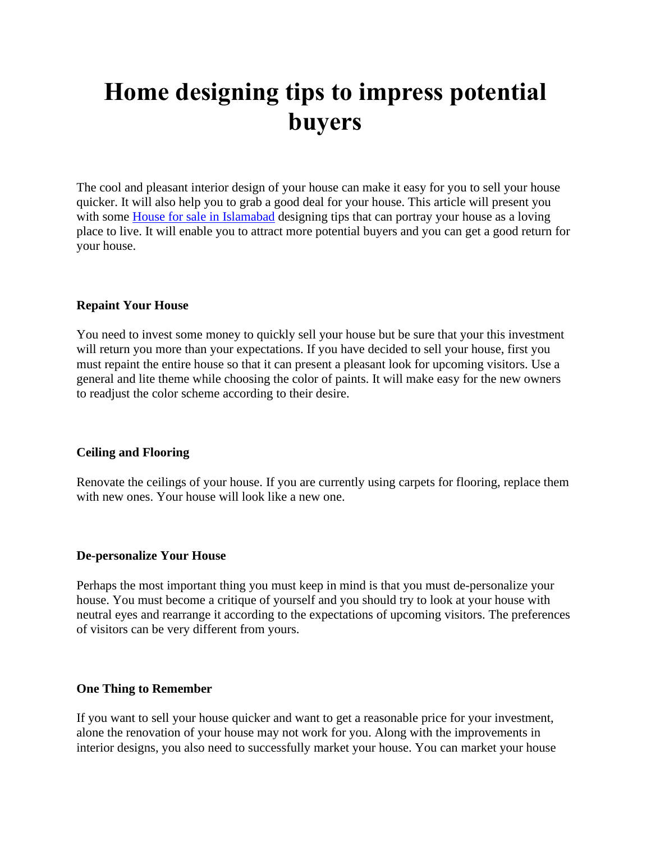# **Home designing tips to impress potential buyers**

The cool and pleasant interior design of your house can make it easy for you to sell your house quicker. It will also help you to grab a good deal for your house. This article will present you with some [House for sale in Islamabad](https://gharbaar.com/sale/Homes-House/Islamabad-11-1) designing tips that can portray your house as a loving place to live. It will enable you to attract more potential buyers and you can get a good return for your house.

### **Repaint Your House**

You need to invest some money to quickly sell your house but be sure that your this investment will return you more than your expectations. If you have decided to sell your house, first you must repaint the entire house so that it can present a pleasant look for upcoming visitors. Use a general and lite theme while choosing the color of paints. It will make easy for the new owners to readjust the color scheme according to their desire.

#### **Ceiling and Flooring**

Renovate the ceilings of your house. If you are currently using carpets for flooring, replace them with new ones. Your house will look like a new one.

#### **De-personalize Your House**

Perhaps the most important thing you must keep in mind is that you must de-personalize your house. You must become a critique of yourself and you should try to look at your house with neutral eyes and rearrange it according to the expectations of upcoming visitors. The preferences of visitors can be very different from yours.

#### **One Thing to Remember**

If you want to sell your house quicker and want to get a reasonable price for your investment, alone the renovation of your house may not work for you. Along with the improvements in interior designs, you also need to successfully market your house. You can market your house